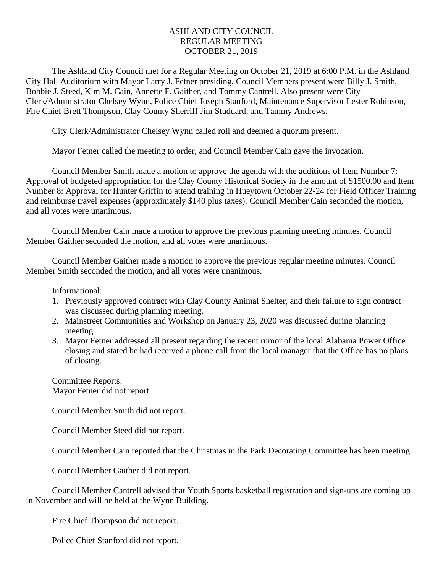## ASHLAND CITY COUNCIL REGULAR MEETING OCTOBER 21, 2019

The Ashland City Council met for a Regular Meeting on October 21, 2019 at 6:00 P.M. in the Ashland City Hall Auditorium with Mayor Larry J. Fetner presiding. Council Members present were Billy J. Smith, Bobbie J. Steed, Kim M. Cain, Annette F. Gaither, and Tommy Cantrell. Also present were City Clerk/Administrator Chelsey Wynn, Police Chief Joseph Stanford, Maintenance Supervisor Lester Robinson, Fire Chief Brett Thompson, Clay County Sherriff Jim Studdard, and Tammy Andrews.

City Clerk/Administrator Chelsey Wynn called roll and deemed a quorum present.

Mayor Fetner called the meeting to order, and Council Member Cain gave the invocation.

Council Member Smith made a motion to approve the agenda with the additions of Item Number 7: Approval of budgeted appropriation for the Clay County Historical Society in the amount of \$1500.00 and Item Number 8: Approval for Hunter Griffin to attend training in Hueytown October 22-24 for Field Officer Training and reimburse travel expenses (approximately \$140 plus taxes). Council Member Cain seconded the motion, and all votes were unanimous.

Council Member Cain made a motion to approve the previous planning meeting minutes. Council Member Gaither seconded the motion, and all votes were unanimous.

Council Member Gaither made a motion to approve the previous regular meeting minutes. Council Member Smith seconded the motion, and all votes were unanimous.

Informational:

- 1. Previously approved contract with Clay County Animal Shelter, and their failure to sign contract was discussed during planning meeting.
- 2. Mainstreet Communities and Workshop on January 23, 2020 was discussed during planning meeting.
- 3. Mayor Fetner addressed all present regarding the recent rumor of the local Alabama Power Office closing and stated he had received a phone call from the local manager that the Office has no plans of closing.

Committee Reports: Mayor Fetner did not report.

Council Member Smith did not report.

Council Member Steed did not report.

Council Member Cain reported that the Christmas in the Park Decorating Committee has been meeting.

Council Member Gaither did not report.

Council Member Cantrell advised that Youth Sports basketball registration and sign-ups are coming up in November and will be held at the Wynn Building.

Fire Chief Thompson did not report.

Police Chief Stanford did not report.